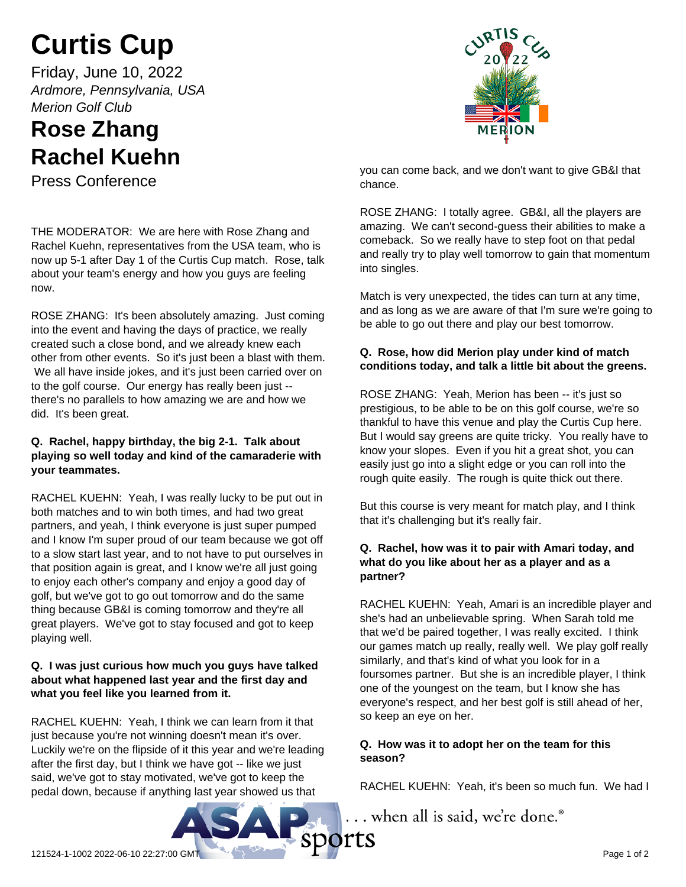# **Curtis Cup**

Friday, June 10, 2022 *Ardmore, Pennsylvania, USA Merion Golf Club*

# **Rose Zhang Rachel Kuehn**

Press Conference

THE MODERATOR: We are here with Rose Zhang and Rachel Kuehn, representatives from the USA team, who is now up 5-1 after Day 1 of the Curtis Cup match. Rose, talk about your team's energy and how you guys are feeling now.

ROSE ZHANG: It's been absolutely amazing. Just coming into the event and having the days of practice, we really created such a close bond, and we already knew each other from other events. So it's just been a blast with them. We all have inside jokes, and it's just been carried over on to the golf course. Our energy has really been just - there's no parallels to how amazing we are and how we did. It's been great.

#### **Q. Rachel, happy birthday, the big 2-1. Talk about playing so well today and kind of the camaraderie with your teammates.**

RACHEL KUEHN: Yeah, I was really lucky to be put out in both matches and to win both times, and had two great partners, and yeah, I think everyone is just super pumped and I know I'm super proud of our team because we got off to a slow start last year, and to not have to put ourselves in that position again is great, and I know we're all just going to enjoy each other's company and enjoy a good day of golf, but we've got to go out tomorrow and do the same thing because GB&I is coming tomorrow and they're all great players. We've got to stay focused and got to keep playing well.

# **Q. I was just curious how much you guys have talked about what happened last year and the first day and what you feel like you learned from it.**

RACHEL KUEHN: Yeah, I think we can learn from it that just because you're not winning doesn't mean it's over. Luckily we're on the flipside of it this year and we're leading after the first day, but I think we have got -- like we just said, we've got to stay motivated, we've got to keep the pedal down, because if anything last year showed us that



you can come back, and we don't want to give GB&I that chance.

ROSE ZHANG: I totally agree. GB&I, all the players are amazing. We can't second-guess their abilities to make a comeback. So we really have to step foot on that pedal and really try to play well tomorrow to gain that momentum into singles.

Match is very unexpected, the tides can turn at any time, and as long as we are aware of that I'm sure we're going to be able to go out there and play our best tomorrow.

# **Q. Rose, how did Merion play under kind of match conditions today, and talk a little bit about the greens.**

ROSE ZHANG: Yeah, Merion has been -- it's just so prestigious, to be able to be on this golf course, we're so thankful to have this venue and play the Curtis Cup here. But I would say greens are quite tricky. You really have to know your slopes. Even if you hit a great shot, you can easily just go into a slight edge or you can roll into the rough quite easily. The rough is quite thick out there.

But this course is very meant for match play, and I think that it's challenging but it's really fair.

# **Q. Rachel, how was it to pair with Amari today, and what do you like about her as a player and as a partner?**

RACHEL KUEHN: Yeah, Amari is an incredible player and she's had an unbelievable spring. When Sarah told me that we'd be paired together, I was really excited. I think our games match up really, really well. We play golf really similarly, and that's kind of what you look for in a foursomes partner. But she is an incredible player, I think one of the youngest on the team, but I know she has everyone's respect, and her best golf is still ahead of her, so keep an eye on her.

# **Q. How was it to adopt her on the team for this season?**

RACHEL KUEHN: Yeah, it's been so much fun. We had I

... when all is said, we're done.®